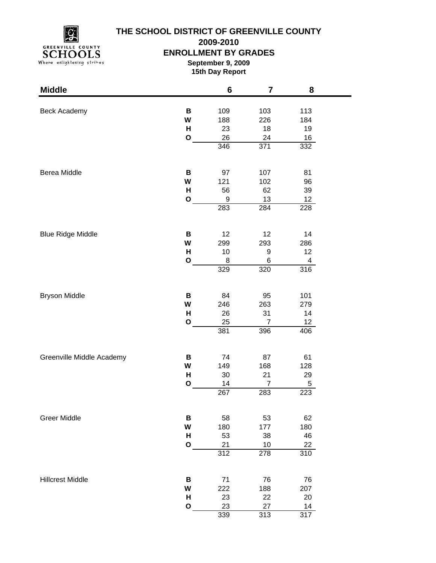

**2009-2010**

## **ENROLLMENT BY GRADES**

**September 9, 2009 15th Day Report**

| <b>Middle</b>             |              | 6          | $\overline{\mathbf{7}}$ | 8               |  |
|---------------------------|--------------|------------|-------------------------|-----------------|--|
|                           |              |            |                         |                 |  |
| Beck Academy              | В<br>W       | 109<br>188 | 103<br>226              | 113<br>184      |  |
|                           | H            | 23         | 18                      | 19              |  |
|                           | $\mathbf{o}$ | 26         | 24                      | 16              |  |
|                           |              | 346        | 371                     | 332             |  |
|                           |              |            |                         |                 |  |
| Berea Middle              | В            | 97         | 107                     | 81              |  |
|                           | W            | 121        | 102                     | 96              |  |
|                           | н            | 56         | 62                      | 39              |  |
|                           | O            | 9          | 13                      | 12 <sub>2</sub> |  |
|                           |              | 283        | 284                     | 228             |  |
|                           | В            | 12         | 12                      | 14              |  |
| <b>Blue Ridge Middle</b>  | W            | 299        | 293                     | 286             |  |
|                           | H            | 10         | 9                       | 12              |  |
|                           | O            | 8          | 6                       | 4               |  |
|                           |              | 329        | 320                     | 316             |  |
|                           |              |            |                         |                 |  |
| <b>Bryson Middle</b>      | В            | 84         | 95                      | 101             |  |
|                           | W            | 246        | 263                     | 279             |  |
|                           | H            | 26         | 31                      | 14              |  |
|                           | $\mathbf{o}$ | 25         | $\overline{7}$          | 12 <sub>2</sub> |  |
|                           |              | 381        | 396                     | 406             |  |
| Greenville Middle Academy | В            | 74         | 87                      | 61              |  |
|                           | W            | 149        | 168                     | 128             |  |
|                           | н            | 30         | 21                      | 29              |  |
|                           | O            | 14         | $\overline{7}$          | 5               |  |
|                           |              | 267        | 283                     | 223             |  |
| <b>Greer Middle</b>       | В            | 58         | 53                      | 62              |  |
|                           | W            | 180        | 177                     | 180             |  |
|                           | H            | 53         | 38                      | 46              |  |
|                           | $\mathbf{o}$ | 21         | 10                      | 22              |  |
|                           |              | 312        | 278                     | 310             |  |
| <b>Hillcrest Middle</b>   | В            | 71         | 76                      | 76              |  |
|                           | W            | 222        | 188                     | 207             |  |
|                           | H            | 23         | 22                      | 20              |  |
|                           | $\mathbf{o}$ | 23         | 27                      | 14              |  |
|                           |              | 339        | 313                     | 317             |  |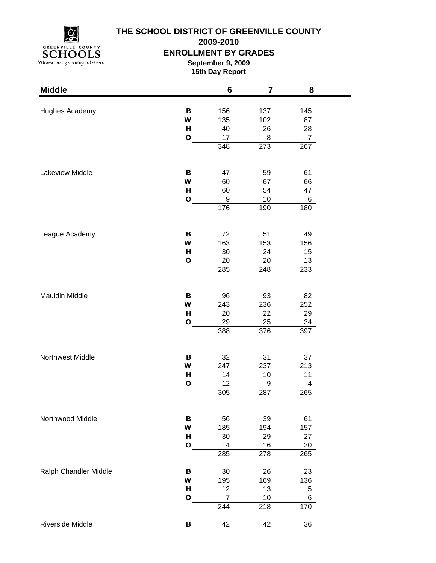

**2009-2010**

## **ENROLLMENT BY GRADES**

**September 9, 2009 15th Day Report**

| <b>Middle</b>         |              | 6              | $\overline{\mathbf{7}}$ | 8                     |  |
|-----------------------|--------------|----------------|-------------------------|-----------------------|--|
|                       |              |                |                         |                       |  |
| Hughes Academy        | В            | 156            | 137                     | 145                   |  |
|                       | W<br>Н       | 135            | 102<br>26               | 87                    |  |
|                       | $\mathbf O$  | 40<br>17       | 8                       | 28                    |  |
|                       |              | 348            | 273                     | $\overline{7}$<br>267 |  |
|                       |              |                |                         |                       |  |
| Lakeview Middle       | В            | 47             | 59                      | 61                    |  |
|                       | W            | 60             | 67                      | 66                    |  |
|                       | н            | 60             | 54                      | 47                    |  |
|                       | $\mathbf{o}$ | 9              | 10                      | 6                     |  |
|                       |              | 176            | 190                     | 180                   |  |
| League Academy        | В            | 72             | 51                      | 49                    |  |
|                       | W            | 163            | 153                     | 156                   |  |
|                       | н            | 30             | 24                      | 15                    |  |
|                       | O            | 20             | 20                      | 13                    |  |
|                       |              | 285            | 248                     | 233                   |  |
|                       |              |                |                         |                       |  |
| Mauldin Middle        | В<br>W       | 96<br>243      | 93                      | 82                    |  |
|                       | н            | 20             | 236<br>22               | 252<br>29             |  |
|                       | O            | 29             | 25                      | 34                    |  |
|                       |              | 388            | 376                     | 397                   |  |
|                       |              |                |                         |                       |  |
| Northwest Middle      | В            | 32             | 31                      | 37                    |  |
|                       | W            | 247            | 237                     | 213                   |  |
|                       | н            | 14             | 10                      | 11                    |  |
|                       | O            | 12             | 9                       | 4                     |  |
|                       |              | 305            | 287                     | 265                   |  |
| Northwood Middle      | B            | 56             | 39                      | 61                    |  |
|                       | W            | 185            | 194                     | 157                   |  |
|                       | Н            | 30             | 29                      | 27                    |  |
|                       | $\mathbf{o}$ | 14             | 16                      | 20                    |  |
|                       |              | 285            | 278                     | 265                   |  |
| Ralph Chandler Middle | В            | 30             | 26                      | 23                    |  |
|                       | W            | 195            | 169                     | 136                   |  |
|                       | н            | 12             | 13                      | 5                     |  |
|                       | $\mathbf{o}$ | $\overline{7}$ | 10                      | 6                     |  |
|                       |              | 244            | 218                     | 170                   |  |
| Riverside Middle      | В            | 42             | 42                      | 36                    |  |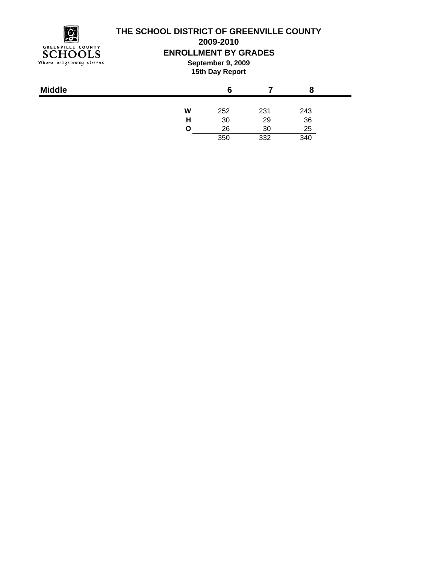

**2009-2010**

### **ENROLLMENT BY GRADES**

**September 9, 2009 15th Day Report**

| <b>Middle</b> | 6   |     |     |  |
|---------------|-----|-----|-----|--|
| W             | 252 | 231 | 243 |  |
| н             | 30  | 29  | 36  |  |
| O             | 26  | 30  | 25  |  |
|               | 350 | 332 | 340 |  |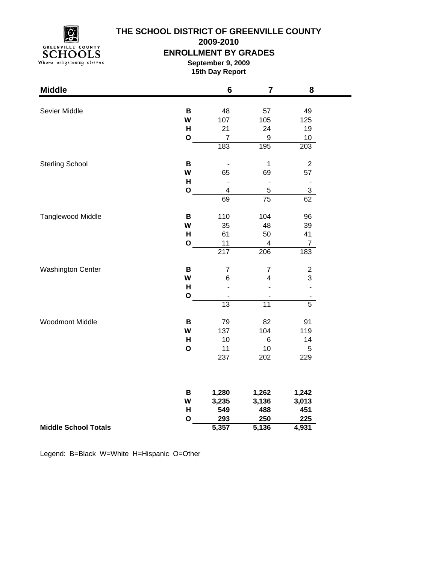

**2009-2010**

#### **ENROLLMENT BY GRADES**

**September 9, 2009 15th Day Report**

۰

| <b>Middle</b>               |              | $6\phantom{1}6$          | $\overline{7}$          | 8                |
|-----------------------------|--------------|--------------------------|-------------------------|------------------|
|                             |              |                          |                         |                  |
| Sevier Middle               | В            | 48                       | 57                      | 49               |
|                             | W<br>H       | 107<br>21                | 105<br>24               | 125              |
|                             |              | $\overline{7}$           |                         | 19               |
|                             | $\mathbf{o}$ | 183                      | $\boldsymbol{9}$<br>195 | 10               |
|                             |              |                          |                         | 203              |
| <b>Sterling School</b>      | B            | $\overline{\phantom{a}}$ | $\mathbf 1$             | $\sqrt{2}$       |
|                             | W            | 65                       | 69                      | 57               |
|                             | H            | $\overline{a}$           | $\blacksquare$          | $\blacksquare$   |
|                             | $\mathbf{o}$ | $\overline{\mathcal{A}}$ | $\sqrt{5}$              | $\overline{3}$   |
|                             |              | 69                       | $\overline{75}$         | 62               |
| Tanglewood Middle           | B            | 110                      | 104                     | 96               |
|                             | W            | 35                       | 48                      | 39               |
|                             | H            | 61                       | 50                      | 41               |
|                             | $\mathbf{o}$ | 11                       | 4                       | $\overline{7}$   |
|                             |              | 217                      | 206                     | 183              |
| <b>Washington Center</b>    | B            | $\overline{7}$           | $\overline{7}$          | $\boldsymbol{2}$ |
|                             | W            | 6                        | $\overline{\mathbf{4}}$ | 3                |
|                             | н            |                          | ÷,                      | $\overline{a}$   |
|                             | $\mathbf{o}$ |                          |                         |                  |
|                             |              | 13                       | $\overline{11}$         | $\overline{5}$   |
| Woodmont Middle             | B            | 79                       | 82                      | 91               |
|                             | W            | 137                      | 104                     | 119              |
|                             | H            | 10                       | $\,6\,$                 | 14               |
|                             | $\mathbf 0$  | 11                       | 10                      | 5                |
|                             |              | 237                      | 202                     | 229              |
|                             |              |                          |                         |                  |
|                             | В            | 1,280                    | 1,262                   | 1,242            |
|                             | W            | 3,235                    | 3,136                   | 3,013            |
|                             | H            | 549                      | 488                     | 451              |
|                             | $\mathbf{o}$ | 293                      | 250                     | 225              |
| <b>Middle School Totals</b> |              | 5,357                    | $\overline{5,136}$      | 4,931            |

Legend: B=Black W=White H=Hispanic O=Other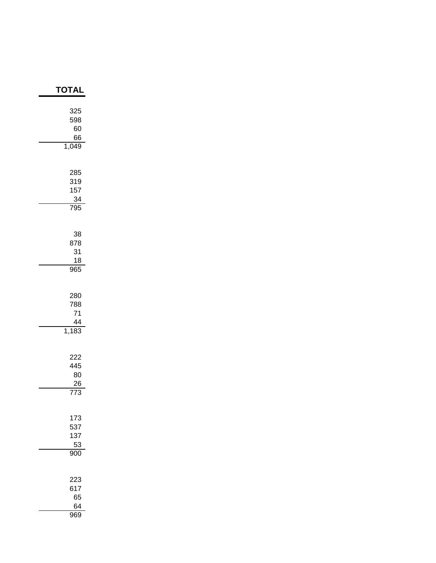| ΓΟΤΑΙ                                                 |
|-------------------------------------------------------|
| 325<br>598<br>60<br>66<br>1,049                       |
| 285<br>319<br>157<br>$\frac{34}{795}$                 |
| 38<br>878<br>31<br>$\frac{18}{1}$<br>965              |
| 280<br>788<br>71<br>$\frac{44}{1,183}$                |
| 222<br>445<br>80<br>$\frac{26}{5}$<br>$\overline{73}$ |
| 173<br>537<br>137<br>53<br>900                        |
| 223<br>617<br>65<br>64<br>969                         |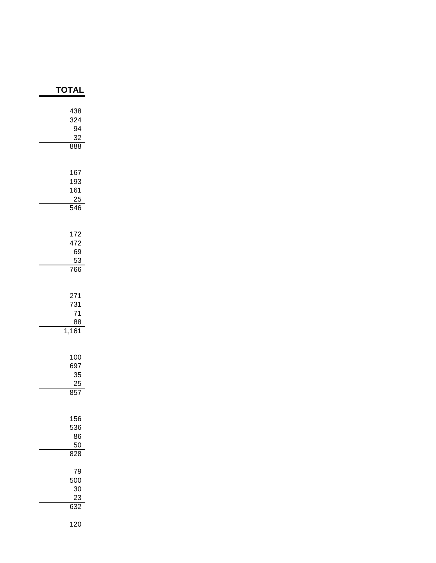| ΓΟΤΑΙ                                    |  |
|------------------------------------------|--|
| 438<br>324<br>94<br>32<br>888            |  |
| 167<br>193<br>161<br>25<br>546           |  |
| 172<br>472<br>69<br>53<br>766            |  |
| 271<br>731<br>71<br>88<br>1,161          |  |
| 100<br>697<br>35<br>25<br>857            |  |
| 156<br>536<br>86<br>50<br>828            |  |
| 79<br>500<br>30<br>23<br>$\frac{1}{632}$ |  |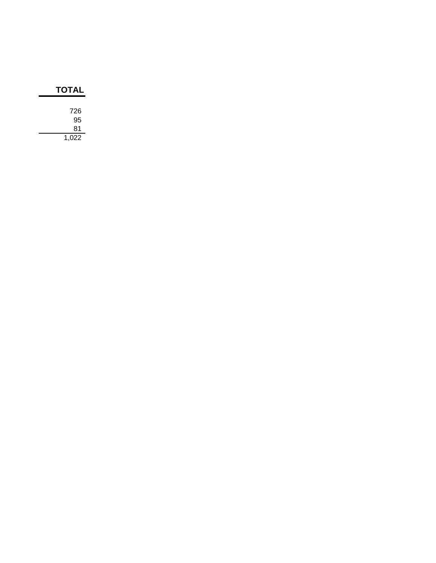| <b>TOTAL</b> |  |  |  |  |
|--------------|--|--|--|--|
| 726          |  |  |  |  |
| 95           |  |  |  |  |
| 81           |  |  |  |  |
| 1,022        |  |  |  |  |